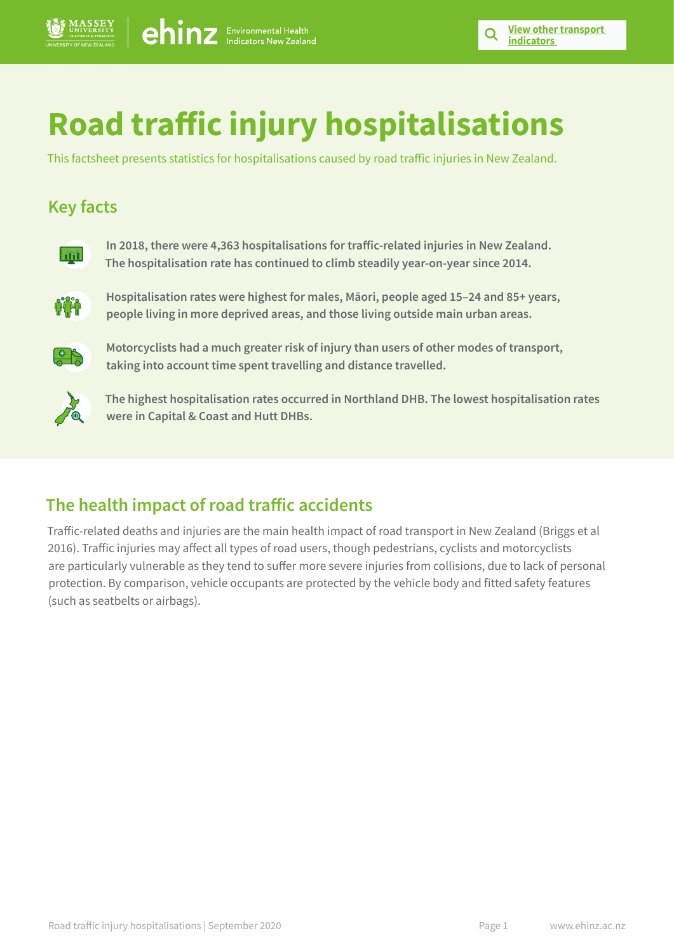# **Road traffic injury hospitalisations**

This factsheet presents statistics for hospitalisations caused by road traffic injuries in New Zealand.

## **Key facts**



**In 2018, there were 4,363 hospitalisations for traffic-related injuries in New Zealand. The hospitalisation rate has continued to climb steadily year-on-year since 2014.**



**Hospitalisation rates were highest for males, Māori, people aged 15–24 and 85+ years, people living in more deprived areas, and those living outside main urban areas.** 



**Motorcyclists had a much greater risk of injury than users of other modes of transport, taking into account time spent travelling and distance travelled.**



**The highest hospitalisation rates occurred in Northland DHB. The lowest hospitalisation rates were in Capital & Coast and Hutt DHBs.**

## **The health impact of road traffic accidents**

Traffic-related deaths and injuries are the main health impact of road transport in New Zealand (Briggs et al 2016). Traffic injuries may affect all types of road users, though pedestrians, cyclists and motorcyclists are particularly vulnerable as they tend to suffer more severe injuries from collisions, due to lack of personal protection. By comparison, vehicle occupants are protected by the vehicle body and fitted safety features (such as seatbelts or airbags).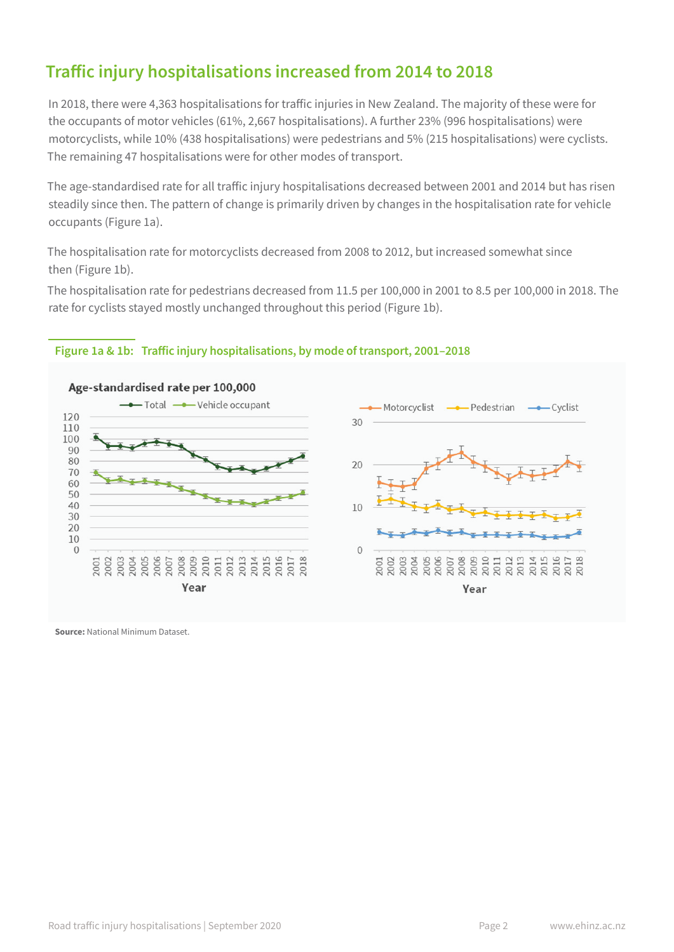## **Traffic injury hospitalisations increased from 2014 to 2018**

In 2018, there were 4,363 hospitalisations for traffic injuries in New Zealand. The majority of these were for the occupants of motor vehicles (61%, 2,667 hospitalisations). A further 23% (996 hospitalisations) were motorcyclists, while 10% (438 hospitalisations) were pedestrians and 5% (215 hospitalisations) were cyclists. The remaining 47 hospitalisations were for other modes of transport.

The age-standardised rate for all traffic injury hospitalisations decreased between 2001 and 2014 but has risen steadily since then. The pattern of change is primarily driven by changes in the hospitalisation rate for vehicle occupants (Figure 1a).

The hospitalisation rate for motorcyclists decreased from 2008 to 2012, but increased somewhat since then (Figure 1b).

The hospitalisation rate for pedestrians decreased from 11.5 per 100,000 in 2001 to 8.5 per 100,000 in 2018. The rate for cyclists stayed mostly unchanged throughout this period (Figure 1b).

#### **Figure 1a & 1b: Traffic injury hospitalisations, by mode of transport, 2001–2018**

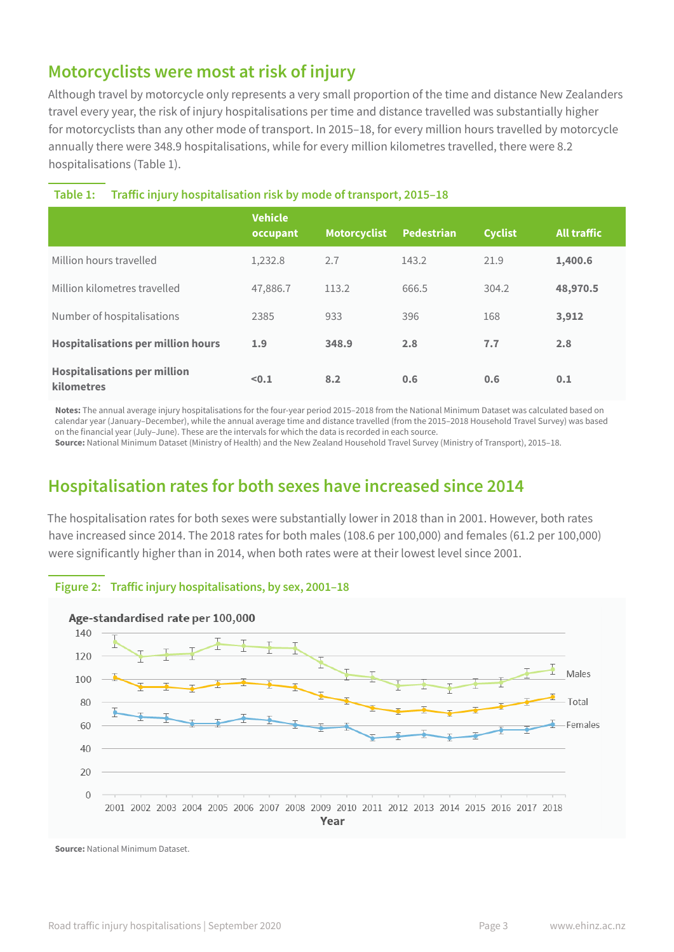## **Motorcyclists were most at risk of injury**

Although travel by motorcycle only represents a very small proportion of the time and distance New Zealanders travel every year, the risk of injury hospitalisations per time and distance travelled was substantially higher for motorcyclists than any other mode of transport. In 2015–18, for every million hours travelled by motorcycle annually there were 348.9 hospitalisations, while for every million kilometres travelled, there were 8.2 hospitalisations (Table 1).

|                                                          | <b>Vehicle</b><br>occupant | <b>Motorcyclist</b> | <b>Pedestrian</b> | <b>Cyclist</b> | <b>All traffic</b> |
|----------------------------------------------------------|----------------------------|---------------------|-------------------|----------------|--------------------|
| Million hours travelled                                  | 1,232.8                    | 2.7                 | 143.2             | 21.9           | 1,400.6            |
| Million kilometres travelled                             | 47,886.7                   | 113.2               | 666.5             | 304.2          | 48,970.5           |
| Number of hospitalisations                               | 2385                       | 933                 | 396               | 168            | 3,912              |
| <b>Hospitalisations per million hours</b>                | 1.9                        | 348.9               | 2.8               | 7.7            | 2.8                |
| <b>Hospitalisations per million</b><br><b>kilometres</b> | < 0.1                      | 8.2                 | 0.6               | 0.6            | 0.1                |

#### **Table 1: Traffic injury hospitalisation risk by mode of transport, 2015–18**

**Notes:** The annual average injury hospitalisations for the four-year period 2015–2018 from the National Minimum Dataset was calculated based on calendar year (January–December), while the annual average time and distance travelled (from the 2015–2018 Household Travel Survey) was based on the financial year (July–June). These are the intervals for which the data is recorded in each source.

**Source:** National Minimum Dataset (Ministry of Health) and the New Zealand Household Travel Survey (Ministry of Transport), 2015–18.

## **Hospitalisation rates for both sexes have increased since 2014**

The hospitalisation rates for both sexes were substantially lower in 2018 than in 2001. However, both rates have increased since 2014. The 2018 rates for both males (108.6 per 100,000) and females (61.2 per 100,000) were significantly higher than in 2014, when both rates were at their lowest level since 2001.



#### **Figure 2: Traffic injury hospitalisations, by sex, 2001–18**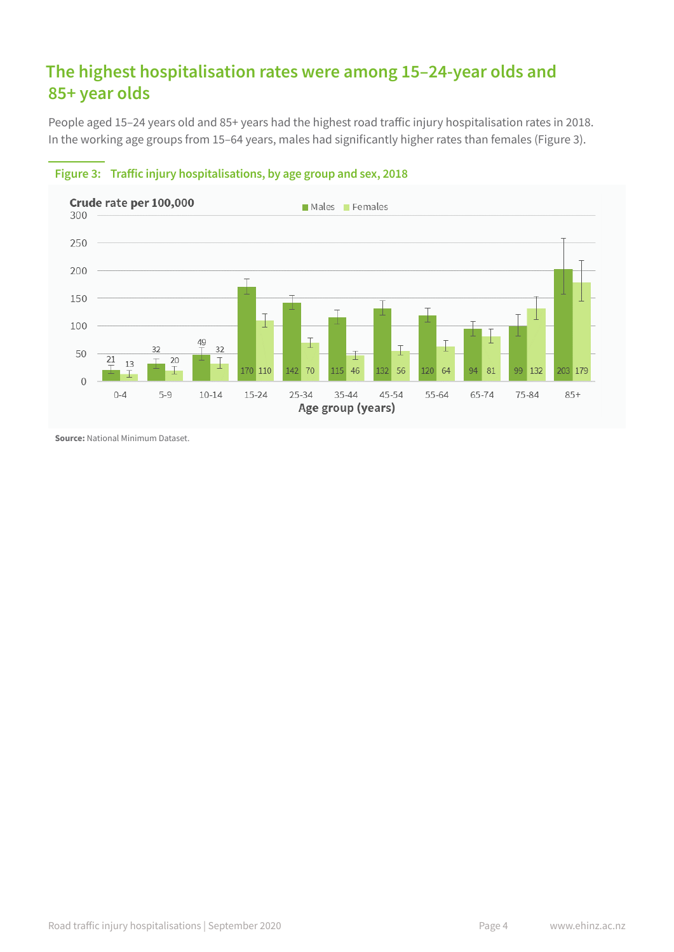## **The highest hospitalisation rates were among 15–24-year olds and 85+ year olds**

People aged 15–24 years old and 85+ years had the highest road traffic injury hospitalisation rates in 2018. In the working age groups from 15–64 years, males had significantly higher rates than females (Figure 3).



#### **Figure 3: Traffic injury hospitalisations, by age group and sex, 2018**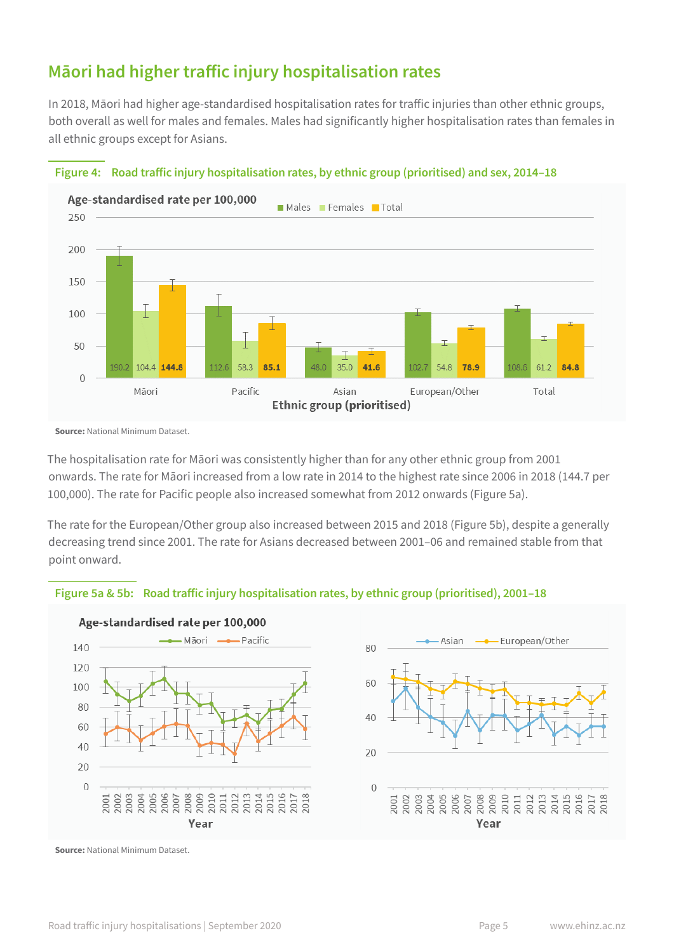## **Māori had higher traffic injury hospitalisation rates**

In 2018, Māori had higher age-standardised hospitalisation rates for traffic injuries than other ethnic groups, both overall as well for males and females. Males had significantly higher hospitalisation rates than females in all ethnic groups except for Asians.



#### **Figure 4: Road traffic injury hospitalisation rates, by ethnic group (prioritised) and sex, 2014–18**

**Source:** National Minimum Dataset.

The hospitalisation rate for Māori was consistently higher than for any other ethnic group from 2001 onwards. The rate for Māori increased from a low rate in 2014 to the highest rate since 2006 in 2018 (144.7 per 100,000). The rate for Pacific people also increased somewhat from 2012 onwards (Figure 5a).

The rate for the European/Other group also increased between 2015 and 2018 (Figure 5b), despite a generally decreasing trend since 2001. The rate for Asians decreased between 2001–06 and remained stable from that point onward.

## **Figure 5a & 5b: Road traffic injury hospitalisation rates, by ethnic group (prioritised), 2001–18**



Age-standardised rate per 100,000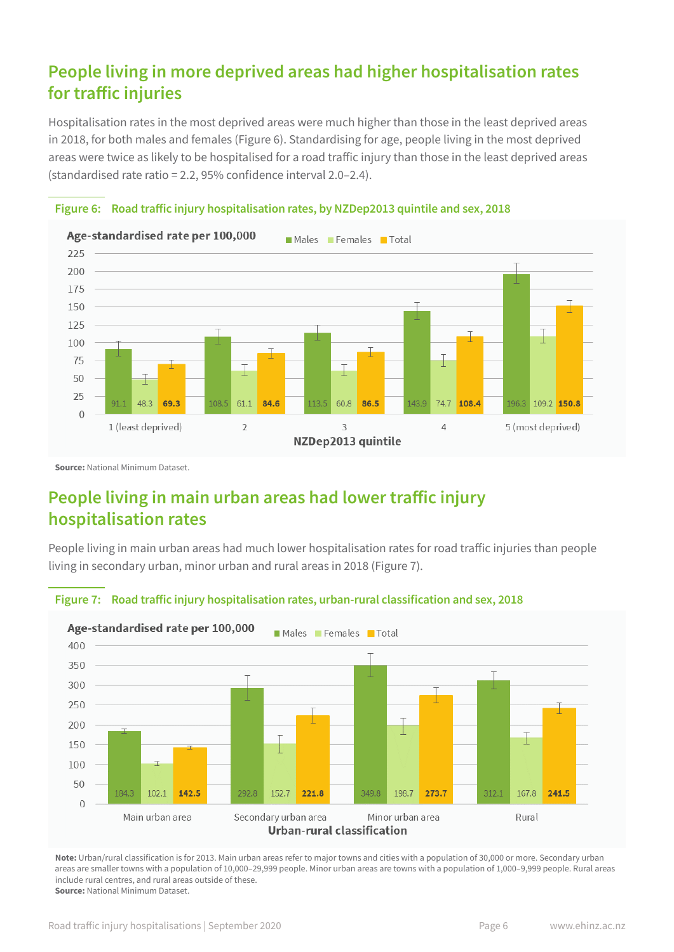## **People living in more deprived areas had higher hospitalisation rates for traffic injuries**

Hospitalisation rates in the most deprived areas were much higher than those in the least deprived areas in 2018, for both males and females (Figure 6). Standardising for age, people living in the most deprived areas were twice as likely to be hospitalised for a road traffic injury than those in the least deprived areas (standardised rate ratio = 2.2, 95% confidence interval 2.0–2.4).





**Source:** National Minimum Dataset.

## **People living in main urban areas had lower traffic injury hospitalisation rates**

People living in main urban areas had much lower hospitalisation rates for road traffic injuries than people living in secondary urban, minor urban and rural areas in 2018 (Figure 7).



**Figure 7: Road traffic injury hospitalisation rates, urban-rural classification and sex, 2018**

**Note:** Urban/rural classification is for 2013. Main urban areas refer to major towns and cities with a population of 30,000 or more. Secondary urban areas are smaller towns with a population of 10,000–29,999 people. Minor urban areas are towns with a population of 1,000–9,999 people. Rural areas include rural centres, and rural areas outside of these. **Source:** National Minimum Dataset.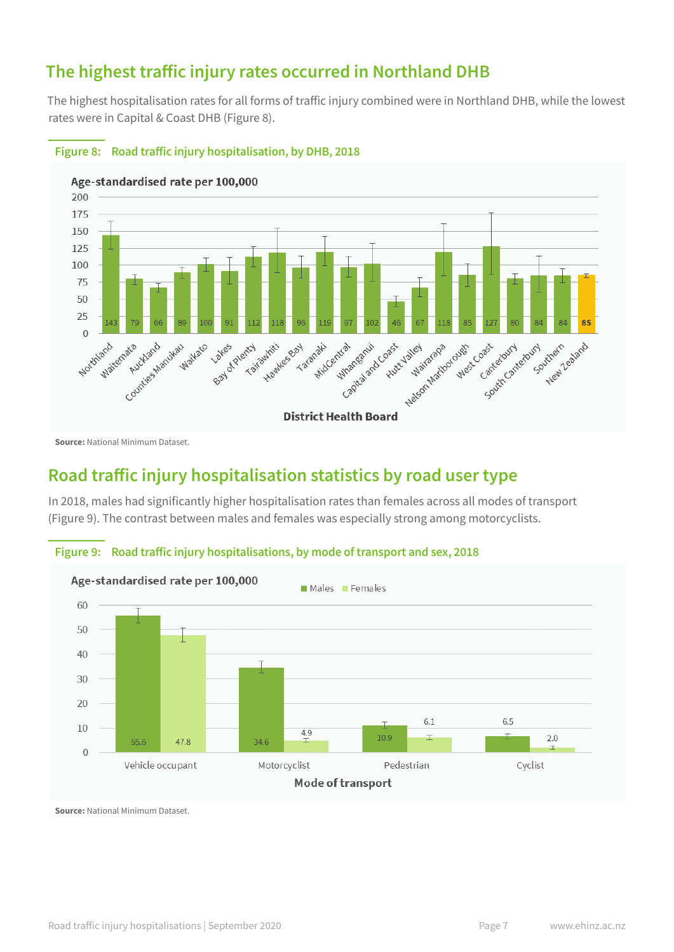## **The highest traffic injury rates occurred in Northland DHB**

The highest hospitalisation rates for all forms of traffic injury combined were in Northland DHB, while the lowest rates were in Capital & Coast DHB (Figure 8).



#### **Figure 8: Road traffic injury hospitalisation, by DHB, 2018**

**Source:** National Minimum Dataset.

## **Road traffic injury hospitalisation statistics by road user type**

In 2018, males had significantly higher hospitalisation rates than females across all modes of transport (Figure 9). The contrast between males and females was especially strong among motorcyclists.



## **Figure 9: Road traffic injury hospitalisations, by mode of transport and sex, 2018**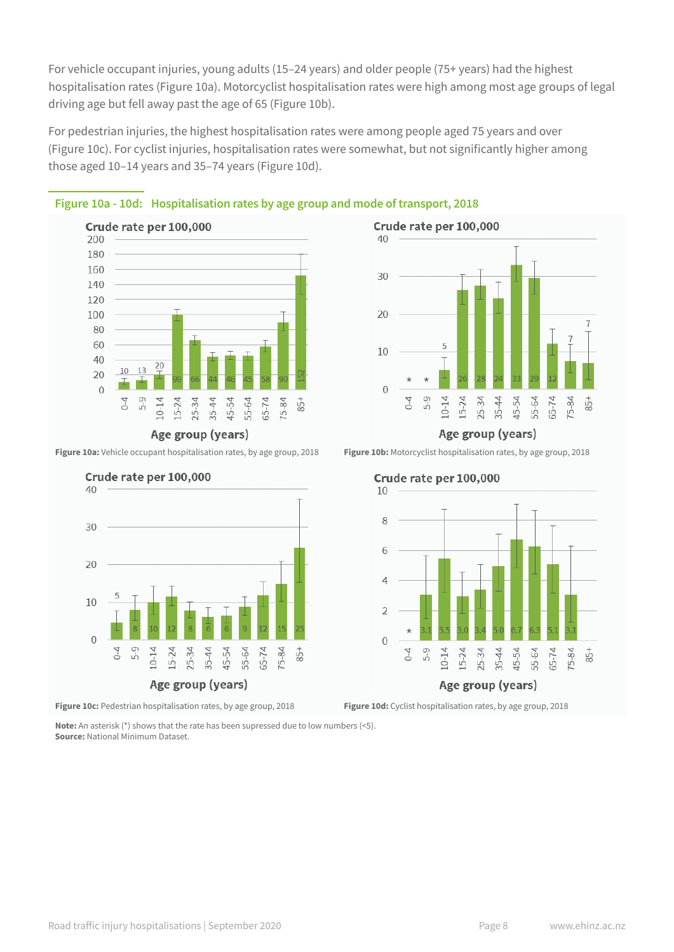For vehicle occupant injuries, young adults (15–24 years) and older people (75+ years) had the highest hospitalisation rates (Figure 10a). Motorcyclist hospitalisation rates were high among most age groups of legal driving age but fell away past the age of 65 (Figure 10b).

For pedestrian injuries, the highest hospitalisation rates were among people aged 75 years and over (Figure 10c). For cyclist injuries, hospitalisation rates were somewhat, but not significantly higher among those aged 10–14 years and 35–74 years (Figure 10d).



**Figure 10a:** Vehicle occupant hospitalisation rates, by age group, 2018 **Figure 10b:** Motorcyclist hospitalisation rates, by age group, 2018



**Figure 10c:** Pedestrian hospitalisation rates, by age group, 2018 **Figure 10d:** Cyclist hospitalisation rates, by age group, 2018

**Note:** An asterisk (\*) shows that the rate has been supressed due to low numbers (<5). **Source:** National Minimum Dataset.





**Figure 10a - 10d: Hospitalisation rates by age group and mode of transport, 2018**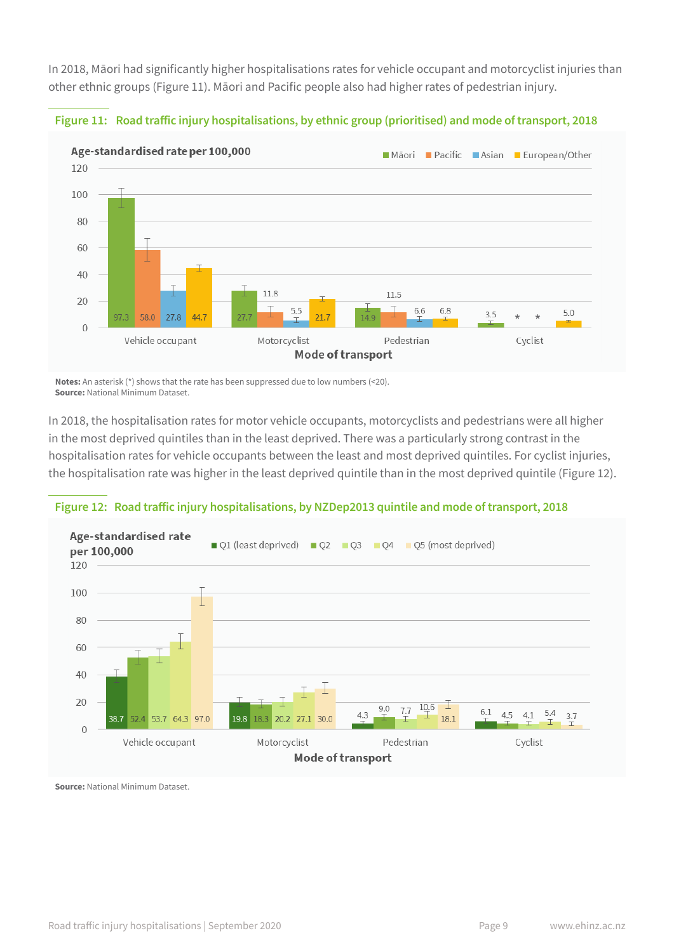In 2018, Māori had significantly higher hospitalisations rates for vehicle occupant and motorcyclist injuries than other ethnic groups (Figure 11). Māori and Pacific people also had higher rates of pedestrian injury.



**Figure 11: Road traffic injury hospitalisations, by ethnic group (prioritised) and mode of transport, 2018**

**Notes:** An asterisk (\*) shows that the rate has been suppressed due to low numbers (<20). **Source:** National Minimum Dataset.

In 2018, the hospitalisation rates for motor vehicle occupants, motorcyclists and pedestrians were all higher in the most deprived quintiles than in the least deprived. There was a particularly strong contrast in the hospitalisation rates for vehicle occupants between the least and most deprived quintiles. For cyclist injuries, the hospitalisation rate was higher in the least deprived quintile than in the most deprived quintile (Figure 12).

#### **Figure 12: Road traffic injury hospitalisations, by NZDep2013 quintile and mode of transport, 2018**

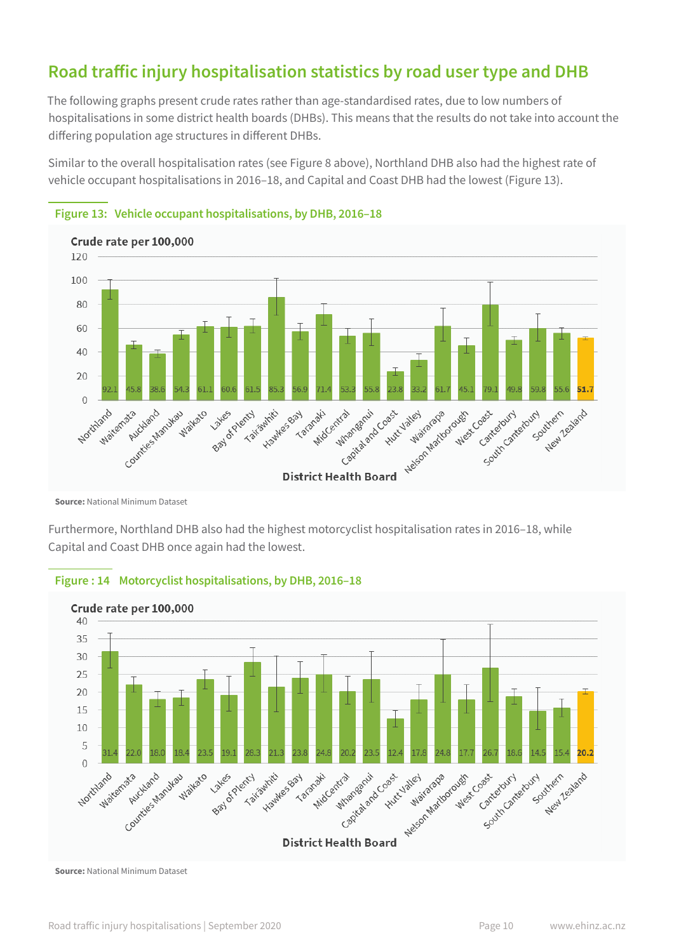## **Road traffic injury hospitalisation statistics by road user type and DHB**

The following graphs present crude rates rather than age-standardised rates, due to low numbers of hospitalisations in some district health boards (DHBs). This means that the results do not take into account the differing population age structures in different DHBs.

Similar to the overall hospitalisation rates (see Figure 8 above), Northland DHB also had the highest rate of vehicle occupant hospitalisations in 2016–18, and Capital and Coast DHB had the lowest (Figure 13).



#### **Figure 13: Vehicle occupant hospitalisations, by DHB, 2016–18**

**Source:** National Minimum Dataset

Furthermore, Northland DHB also had the highest motorcyclist hospitalisation rates in 2016–18, while Capital and Coast DHB once again had the lowest.



#### **Figure : 14 Motorcyclist hospitalisations, by DHB, 2016–18**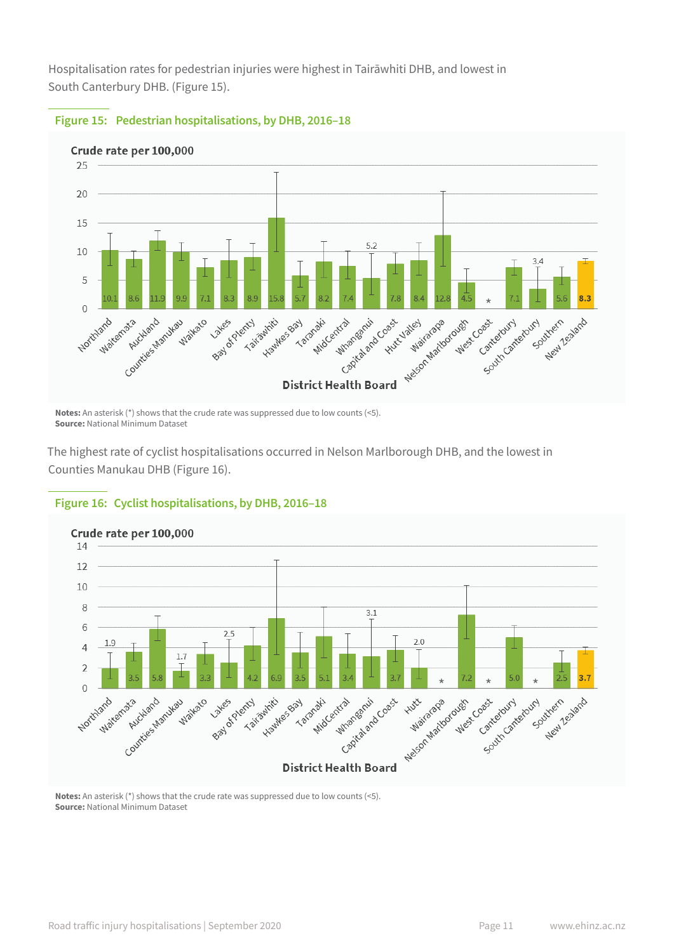Hospitalisation rates for pedestrian injuries were highest in Tairāwhiti DHB, and lowest in South Canterbury DHB. (Figure 15).



#### **Figure 15: Pedestrian hospitalisations, by DHB, 2016–18**

**Notes:** An asterisk (\*) shows that the crude rate was suppressed due to low counts (<5). **Source:** National Minimum Dataset

The highest rate of cyclist hospitalisations occurred in Nelson Marlborough DHB, and the lowest in Counties Manukau DHB (Figure 16).



#### **Figure 16: Cyclist hospitalisations, by DHB, 2016–18**

**Notes:** An asterisk (\*) shows that the crude rate was suppressed due to low counts (<5). **Source:** National Minimum Dataset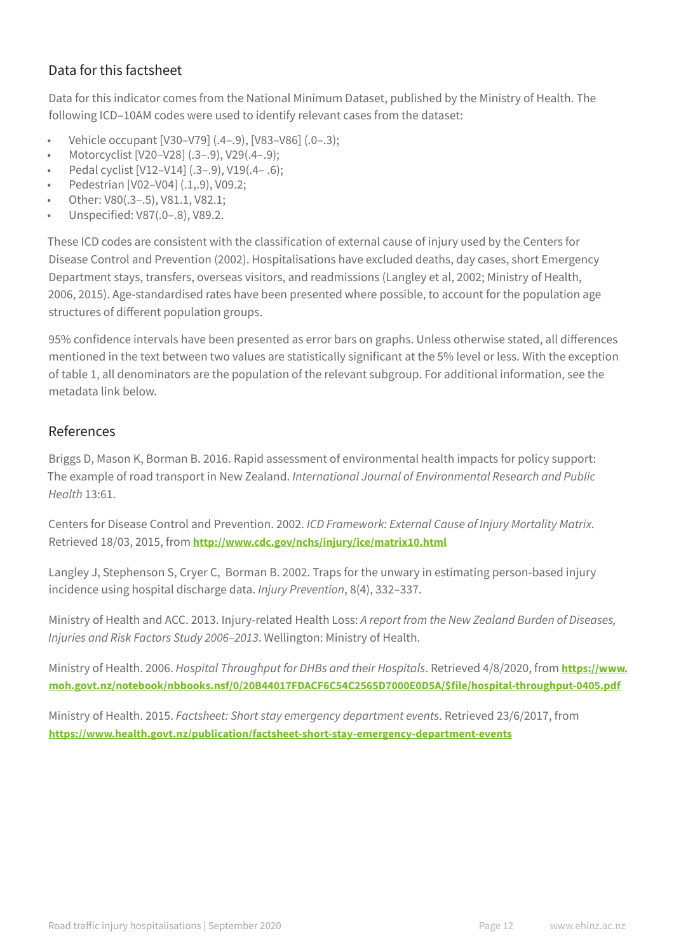## Data for this factsheet

Data for this indicator comes from the National Minimum Dataset, published by the Ministry of Health. The following ICD–10AM codes were used to identify relevant cases from the dataset:

- Vehicle occupant [V30–V79] (.4–.9), [V83–V86] (.0–.3);
- Motorcyclist [V20–V28] (.3–.9), V29(.4–.9);
- Pedal cyclist [V12–V14] (.3–.9), V19(.4– .6);
- Pedestrian [V02–V04] (.1,.9), V09.2;
- Other: V80(.3–.5), V81.1, V82.1;
- Unspecified: V87(.0–.8), V89.2.

These ICD codes are consistent with the classification of external cause of injury used by the Centers for Disease Control and Prevention (2002). Hospitalisations have excluded deaths, day cases, short Emergency Department stays, transfers, overseas visitors, and readmissions (Langley et al, 2002; Ministry of Health, 2006, 2015). Age-standardised rates have been presented where possible, to account for the population age structures of different population groups.

95% confidence intervals have been presented as error bars on graphs. Unless otherwise stated, all differences mentioned in the text between two values are statistically significant at the 5% level or less. With the exception of table 1, all denominators are the population of the relevant subgroup. For additional information, see the metadata link below.

## References

Briggs D, Mason K, Borman B. 2016. Rapid assessment of environmental health impacts for policy support: The example of road transport in New Zealand. *International Journal of Environmental Research and Public Health* 13:61.

Centers for Disease Control and Prevention. 2002. *ICD Framework: External Cause of Injury Mortality Matrix*. Retrieved 18/03, 2015, from **http://www.cdc.gov/nchs/injury/ice/matrix10.html**

Langley J, Stephenson S, Cryer C, Borman B. 2002. Traps for the unwary in estimating person-based injury incidence using hospital discharge data. *Injury Prevention*, 8(4), 332–337.

Ministry of Health and ACC. 2013. Injury-related Health Loss: *A report from the New Zealand Burden of Diseases, Injuries and Risk Factors Study 2006–2013*. Wellington: Ministry of Health.

Ministry of Health. 2006. *Hospital Throughput for DHBs and their Hospitals*. Retrieved 4/8/2020, from **https://www. moh.govt.nz/notebook/nbbooks.nsf/0/20B44017FDACF6C54C2565D7000E0D5A/\$file/hospital-throughput-0405.pdf**

Ministry of Health. 2015. *Factsheet: Short stay emergency department events*. Retrieved 23/6/2017, from **https://www.health.govt.nz/publication/factsheet-short-stay-emergency-department-events**